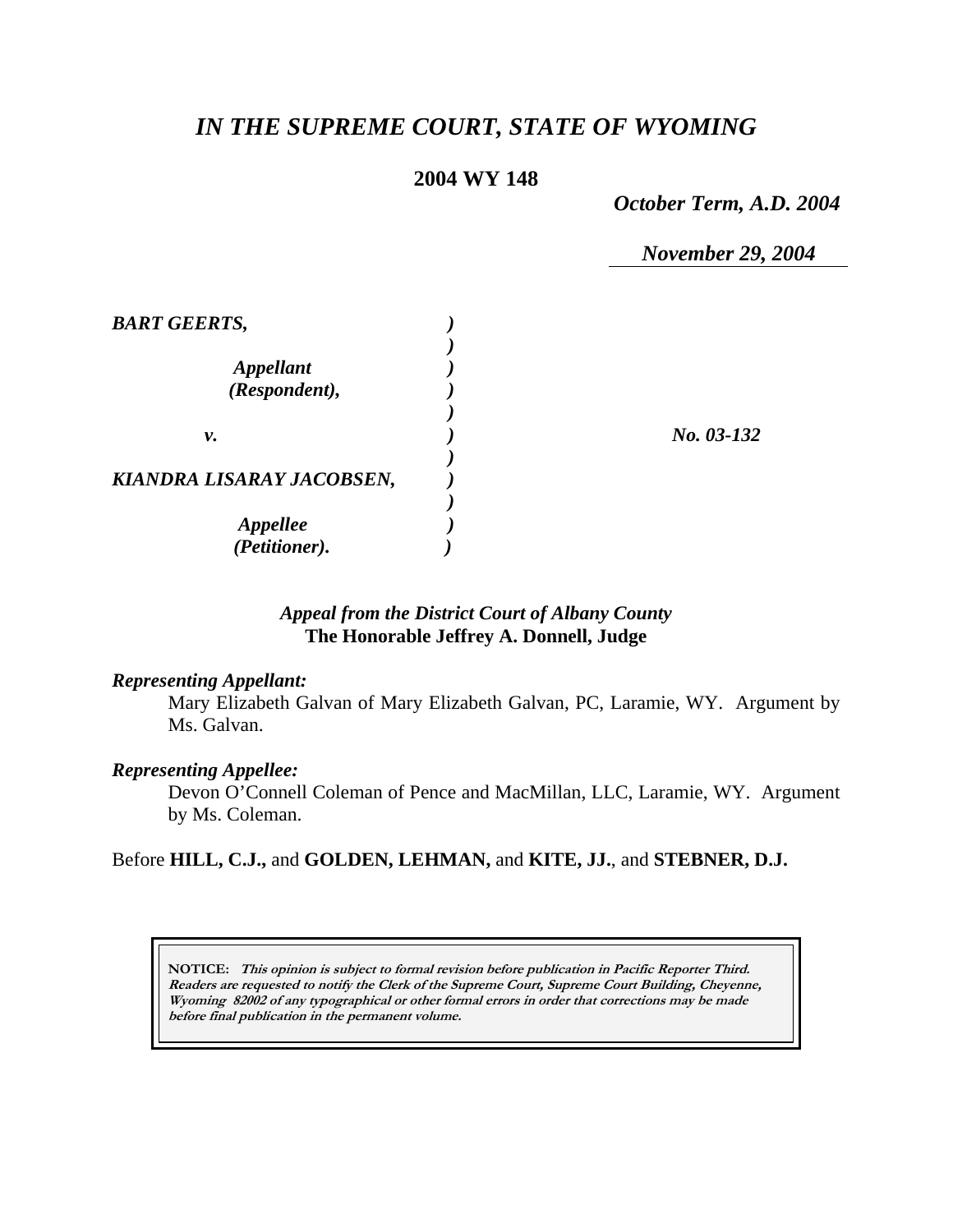# *IN THE SUPREME COURT, STATE OF WYOMING*

# **2004 WY 148**

*October Term, A.D. 2004* 

*November 29, 2004* 

| <b>BART GEERTS,</b>       |              |
|---------------------------|--------------|
|                           |              |
| <i><b>Appellant</b></i>   |              |
| (Respondent),             |              |
|                           |              |
| ν.                        | $No. 03-132$ |
|                           |              |
| KIANDRA LISARAY JACOBSEN, |              |
|                           |              |
| <b>Appellee</b>           |              |
| (Petitioner).             |              |

# *Appeal from the District Court of Albany County* **The Honorable Jeffrey A. Donnell, Judge**

#### *Representing Appellant:*

Mary Elizabeth Galvan of Mary Elizabeth Galvan, PC, Laramie, WY. Argument by Ms. Galvan.

### *Representing Appellee:*

Devon O'Connell Coleman of Pence and MacMillan, LLC, Laramie, WY. Argument by Ms. Coleman.

Before **HILL, C.J.,** and **GOLDEN, LEHMAN,** and **KITE, JJ.**, and **STEBNER, D.J.** 

**NOTICE: This opinion is subject to formal revision before publication in Pacific Reporter Third. Readers are requested to notify the Clerk of the Supreme Court, Supreme Court Building, Cheyenne, Wyoming 82002 of any typographical or other formal errors in order that corrections may be made before final publication in the permanent volume.**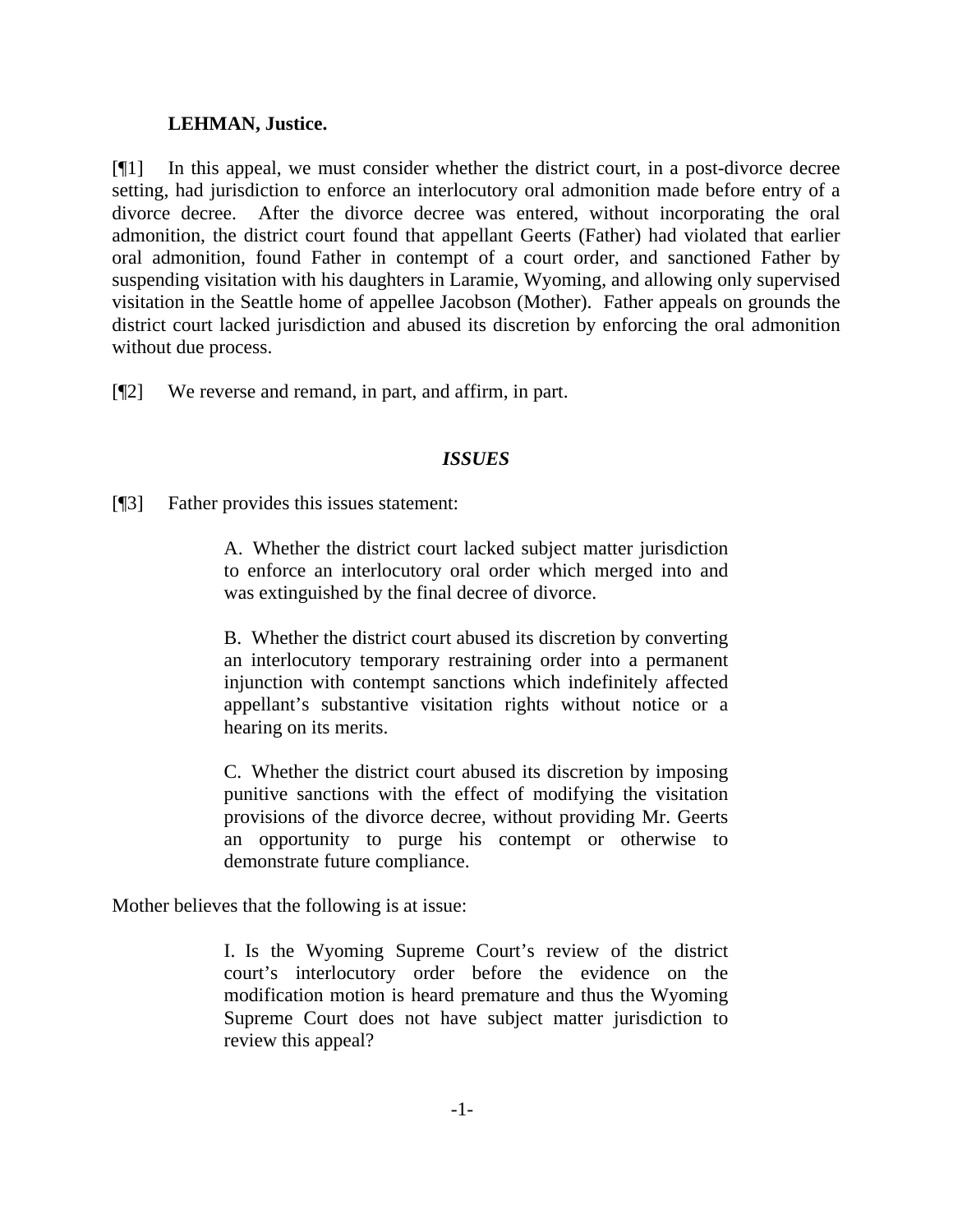## **LEHMAN, Justice.**

[¶1] In this appeal, we must consider whether the district court, in a post-divorce decree setting, had jurisdiction to enforce an interlocutory oral admonition made before entry of a divorce decree. After the divorce decree was entered, without incorporating the oral admonition, the district court found that appellant Geerts (Father) had violated that earlier oral admonition, found Father in contempt of a court order, and sanctioned Father by suspending visitation with his daughters in Laramie, Wyoming, and allowing only supervised visitation in the Seattle home of appellee Jacobson (Mother). Father appeals on grounds the district court lacked jurisdiction and abused its discretion by enforcing the oral admonition without due process.

[¶2] We reverse and remand, in part, and affirm, in part.

## *ISSUES*

[¶3] Father provides this issues statement:

A. Whether the district court lacked subject matter jurisdiction to enforce an interlocutory oral order which merged into and was extinguished by the final decree of divorce.

B. Whether the district court abused its discretion by converting an interlocutory temporary restraining order into a permanent injunction with contempt sanctions which indefinitely affected appellant's substantive visitation rights without notice or a hearing on its merits.

C. Whether the district court abused its discretion by imposing punitive sanctions with the effect of modifying the visitation provisions of the divorce decree, without providing Mr. Geerts an opportunity to purge his contempt or otherwise to demonstrate future compliance.

Mother believes that the following is at issue:

I. Is the Wyoming Supreme Court's review of the district court's interlocutory order before the evidence on the modification motion is heard premature and thus the Wyoming Supreme Court does not have subject matter jurisdiction to review this appeal?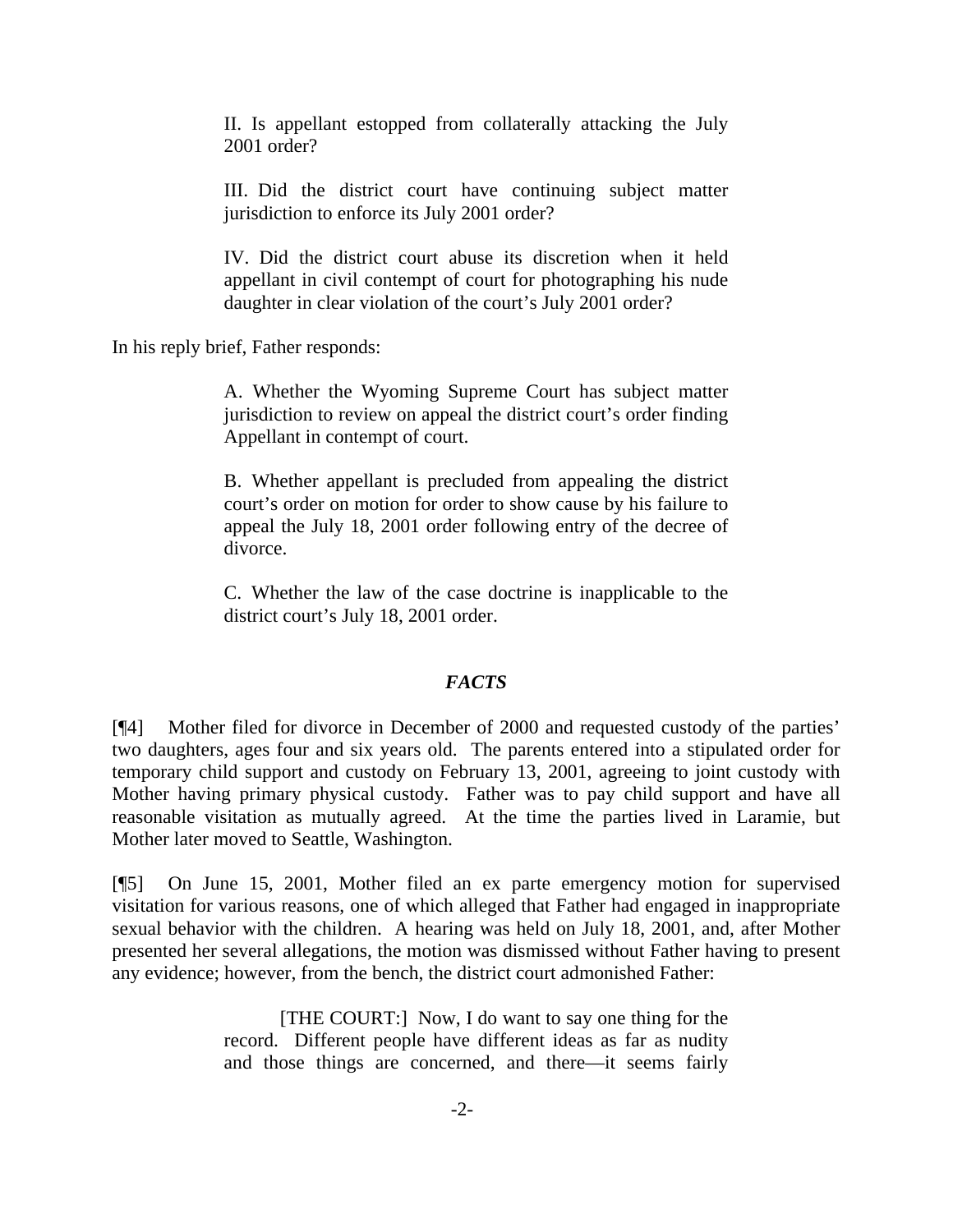II. Is appellant estopped from collaterally attacking the July 2001 order?

III. Did the district court have continuing subject matter jurisdiction to enforce its July 2001 order?

IV. Did the district court abuse its discretion when it held appellant in civil contempt of court for photographing his nude daughter in clear violation of the court's July 2001 order?

In his reply brief, Father responds:

A. Whether the Wyoming Supreme Court has subject matter jurisdiction to review on appeal the district court's order finding Appellant in contempt of court.

B. Whether appellant is precluded from appealing the district court's order on motion for order to show cause by his failure to appeal the July 18, 2001 order following entry of the decree of divorce.

C. Whether the law of the case doctrine is inapplicable to the district court's July 18, 2001 order.

# *FACTS*

[¶4] Mother filed for divorce in December of 2000 and requested custody of the parties' two daughters, ages four and six years old. The parents entered into a stipulated order for temporary child support and custody on February 13, 2001, agreeing to joint custody with Mother having primary physical custody. Father was to pay child support and have all reasonable visitation as mutually agreed. At the time the parties lived in Laramie, but Mother later moved to Seattle, Washington.

[¶5] On June 15, 2001, Mother filed an ex parte emergency motion for supervised visitation for various reasons, one of which alleged that Father had engaged in inappropriate sexual behavior with the children. A hearing was held on July 18, 2001, and, after Mother presented her several allegations, the motion was dismissed without Father having to present any evidence; however, from the bench, the district court admonished Father:

> [THE COURT:] Now, I do want to say one thing for the record. Different people have different ideas as far as nudity and those things are concerned, and there—it seems fairly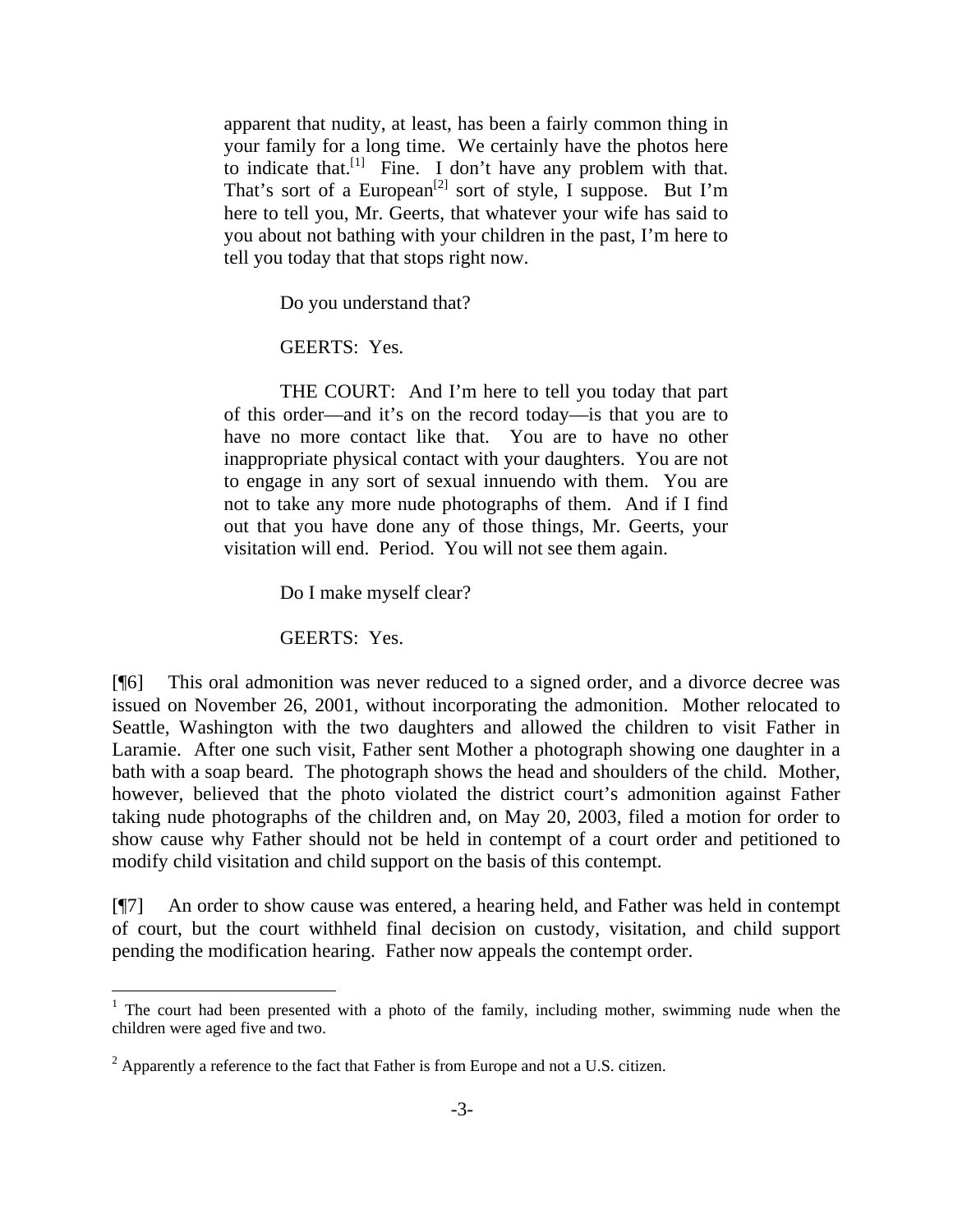apparent that nudity, at least, has been a fairly common thing in your family for a long time. We certainly have the photos here to indicate that. $[1]$  Fine. I don't have any problem with that. That's sort of a European<sup>[2]</sup> sort of style, I suppose. But I'm here to tell you, Mr. Geerts, that whatever your wife has said to you about not bathing with your children in the past, I'm here to tell you today that that stops right now.

Do you understand that?

GEERTS: Yes.

 THE COURT: And I'm here to tell you today that part of this order—and it's on the record today—is that you are to have no more contact like that. You are to have no other inappropriate physical contact with your daughters. You are not to engage in any sort of sexual innuendo with them. You are not to take any more nude photographs of them. And if I find out that you have done any of those things, Mr. Geerts, your visitation will end. Period. You will not see them again.

Do I make myself clear?

GEERTS: Yes.

[¶6] This oral admonition was never reduced to a signed order, and a divorce decree was issued on November 26, 2001, without incorporating the admonition. Mother relocated to Seattle, Washington with the two daughters and allowed the children to visit Father in Laramie. After one such visit, Father sent Mother a photograph showing one daughter in a bath with a soap beard. The photograph shows the head and shoulders of the child. Mother, however, believed that the photo violated the district court's admonition against Father taking nude photographs of the children and, on May 20, 2003, filed a motion for order to show cause why Father should not be held in contempt of a court order and petitioned to modify child visitation and child support on the basis of this contempt.

[¶7] An order to show cause was entered, a hearing held, and Father was held in contempt of court, but the court withheld final decision on custody, visitation, and child support pending the modification hearing. Father now appeals the contempt order.

<sup>&</sup>lt;sup>1</sup> The court had been presented with a photo of the family, including mother, swimming nude when the children were aged five and two.

 $2$  Apparently a reference to the fact that Father is from Europe and not a U.S. citizen.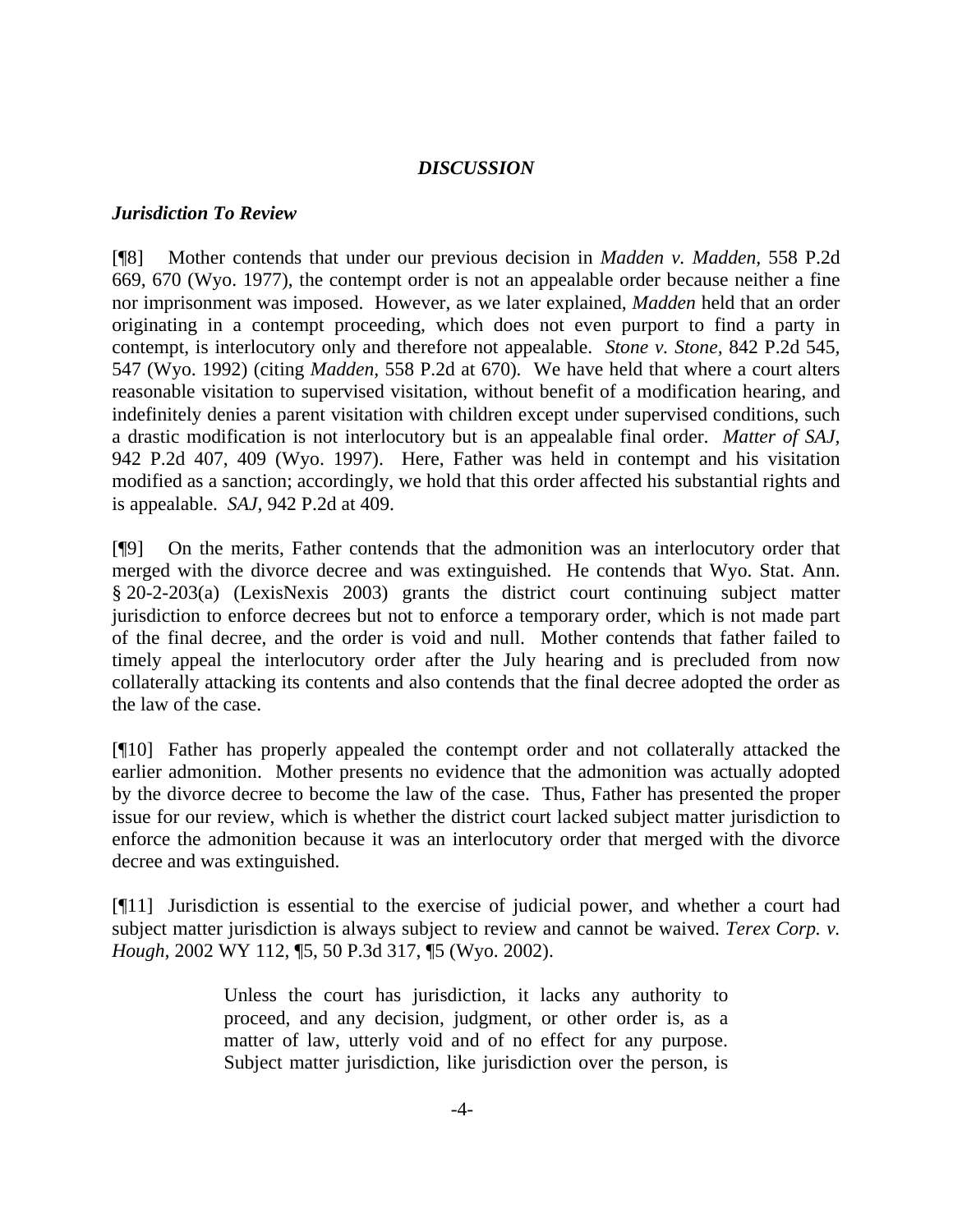#### *DISCUSSION*

#### *Jurisdiction To Review*

[¶8] Mother contends that under our previous decision in *Madden v. Madden,* 558 P.2d 669, 670 (Wyo. 1977), the contempt order is not an appealable order because neither a fine nor imprisonment was imposed. However, as we later explained, *Madden* held that an order originating in a contempt proceeding, which does not even purport to find a party in contempt, is interlocutory only and therefore not appealable. *Stone v. Stone,* 842 P.2d 545*,*  547 (Wyo. 1992) (citing *Madden,* 558 P.2d at 670)*.* We have held that where a court alters reasonable visitation to supervised visitation, without benefit of a modification hearing, and indefinitely denies a parent visitation with children except under supervised conditions, such a drastic modification is not interlocutory but is an appealable final order. *Matter of SAJ,*  942 P.2d 407, 409 (Wyo. 1997). Here, Father was held in contempt and his visitation modified as a sanction; accordingly, we hold that this order affected his substantial rights and is appealable. *SAJ,* 942 P.2d at 409.

[¶9] On the merits, Father contends that the admonition was an interlocutory order that merged with the divorce decree and was extinguished. He contends that Wyo. Stat. Ann. § 20-2-203(a) (LexisNexis 2003) grants the district court continuing subject matter jurisdiction to enforce decrees but not to enforce a temporary order, which is not made part of the final decree, and the order is void and null. Mother contends that father failed to timely appeal the interlocutory order after the July hearing and is precluded from now collaterally attacking its contents and also contends that the final decree adopted the order as the law of the case.

[¶10] Father has properly appealed the contempt order and not collaterally attacked the earlier admonition. Mother presents no evidence that the admonition was actually adopted by the divorce decree to become the law of the case. Thus, Father has presented the proper issue for our review, which is whether the district court lacked subject matter jurisdiction to enforce the admonition because it was an interlocutory order that merged with the divorce decree and was extinguished.

[¶11] Jurisdiction is essential to the exercise of judicial power, and whether a court had subject matter jurisdiction is always subject to review and cannot be waived. *Terex Corp. v. Hough,* 2002 WY 112, ¶5, 50 P.3d 317, ¶5 (Wyo. 2002).

> Unless the court has jurisdiction, it lacks any authority to proceed, and any decision, judgment, or other order is, as a matter of law, utterly void and of no effect for any purpose. Subject matter jurisdiction, like jurisdiction over the person, is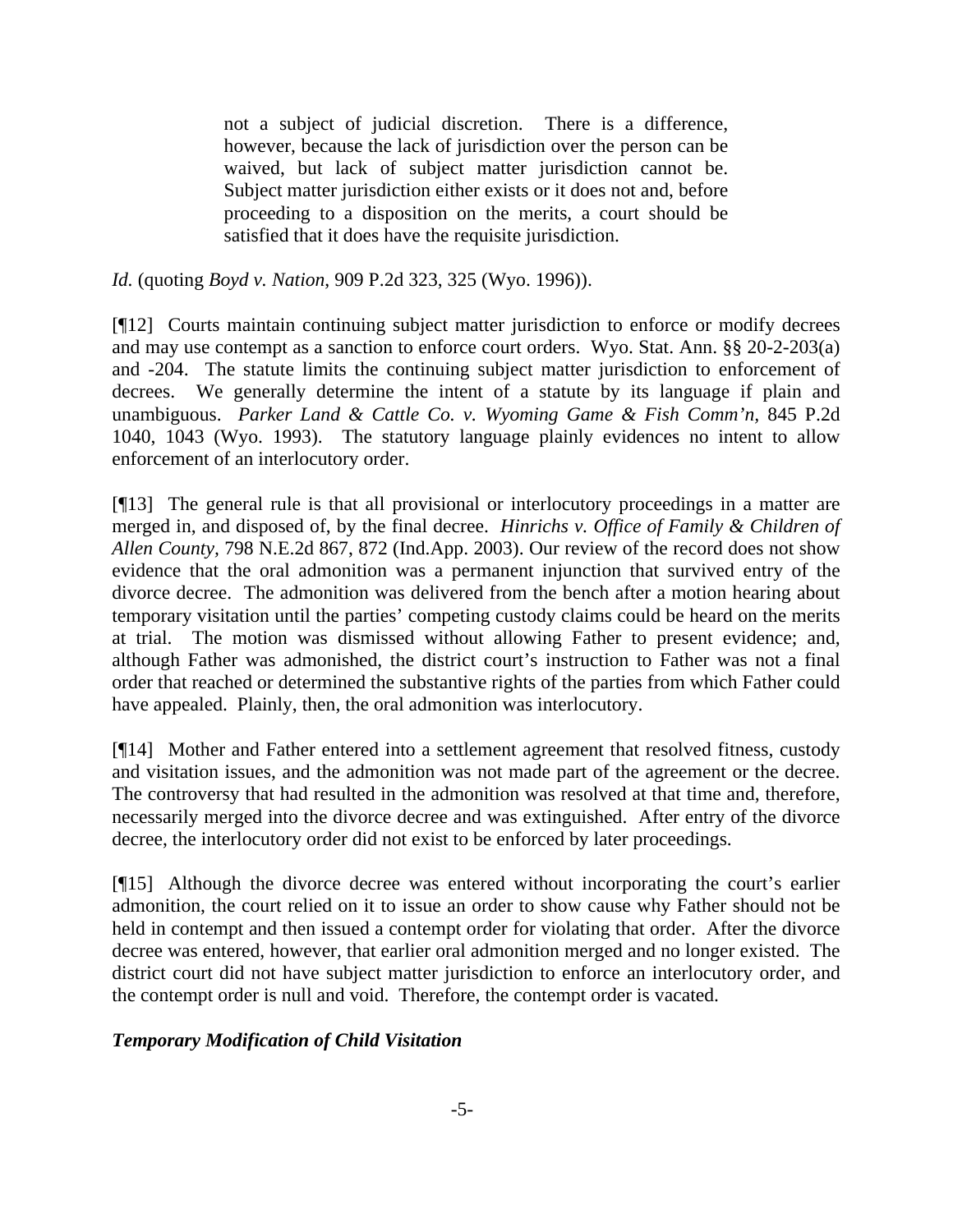not a subject of judicial discretion. There is a difference, however, because the lack of jurisdiction over the person can be waived, but lack of subject matter jurisdiction cannot be. Subject matter jurisdiction either exists or it does not and, before proceeding to a disposition on the merits, a court should be satisfied that it does have the requisite jurisdiction.

*Id.* (quoting *Boyd v. Nation*, 909 P.2d 323, 325 (Wyo. 1996)).

[¶12] Courts maintain continuing subject matter jurisdiction to enforce or modify decrees and may use contempt as a sanction to enforce court orders. Wyo. Stat. Ann. §§ 20-2-203(a) and -204. The statute limits the continuing subject matter jurisdiction to enforcement of decrees. We generally determine the intent of a statute by its language if plain and unambiguous. *Parker Land & Cattle Co. v. Wyoming Game & Fish Comm'n,* 845 P.2d 1040, 1043 (Wyo. 1993). The statutory language plainly evidences no intent to allow enforcement of an interlocutory order.

[¶13] The general rule is that all provisional or interlocutory proceedings in a matter are merged in, and disposed of, by the final decree. *Hinrichs v. Office of Family & Children of Allen County,* 798 N.E.2d 867, 872 (Ind.App. 2003). Our review of the record does not show evidence that the oral admonition was a permanent injunction that survived entry of the divorce decree. The admonition was delivered from the bench after a motion hearing about temporary visitation until the parties' competing custody claims could be heard on the merits at trial. The motion was dismissed without allowing Father to present evidence; and, although Father was admonished, the district court's instruction to Father was not a final order that reached or determined the substantive rights of the parties from which Father could have appealed. Plainly, then, the oral admonition was interlocutory.

[¶14] Mother and Father entered into a settlement agreement that resolved fitness, custody and visitation issues, and the admonition was not made part of the agreement or the decree. The controversy that had resulted in the admonition was resolved at that time and, therefore, necessarily merged into the divorce decree and was extinguished. After entry of the divorce decree, the interlocutory order did not exist to be enforced by later proceedings.

[¶15] Although the divorce decree was entered without incorporating the court's earlier admonition, the court relied on it to issue an order to show cause why Father should not be held in contempt and then issued a contempt order for violating that order. After the divorce decree was entered, however, that earlier oral admonition merged and no longer existed. The district court did not have subject matter jurisdiction to enforce an interlocutory order, and the contempt order is null and void. Therefore, the contempt order is vacated.

# *Temporary Modification of Child Visitation*